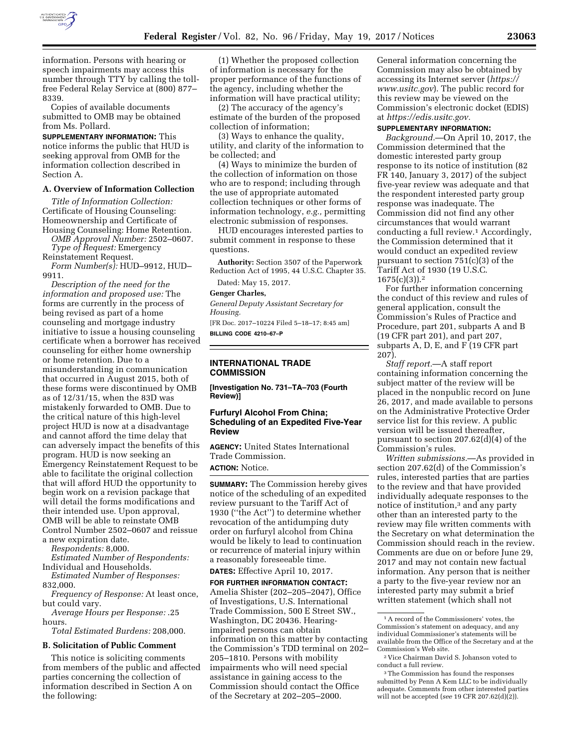

information. Persons with hearing or speech impairments may access this number through TTY by calling the tollfree Federal Relay Service at (800) 877– 8339.

Copies of available documents submitted to OMB may be obtained from Ms. Pollard.

**SUPPLEMENTARY INFORMATION:** This notice informs the public that HUD is seeking approval from OMB for the information collection described in Section A.

# **A. Overview of Information Collection**

*Title of Information Collection:*  Certificate of Housing Counseling: Homeownership and Certificate of Housing Counseling: Home Retention.

*OMB Approval Number:* 2502–0607. *Type of Request:* Emergency Reinstatement Request.

*Form Number(s):* HUD–9912, HUD– 9911.

*Description of the need for the information and proposed use:* The forms are currently in the process of being revised as part of a home counseling and mortgage industry initiative to issue a housing counseling certificate when a borrower has received counseling for either home ownership or home retention. Due to a misunderstanding in communication that occurred in August 2015, both of these forms were discontinued by OMB as of 12/31/15, when the 83D was mistakenly forwarded to OMB. Due to the critical nature of this high-level project HUD is now at a disadvantage and cannot afford the time delay that can adversely impact the benefits of this program. HUD is now seeking an Emergency Reinstatement Request to be able to facilitate the original collection that will afford HUD the opportunity to begin work on a revision package that will detail the forms modifications and their intended use. Upon approval, OMB will be able to reinstate OMB Control Number 2502–0607 and reissue a new expiration date.

*Respondents:* 8,000.

*Estimated Number of Respondents:*  Individual and Households.

*Estimated Number of Responses:*  832,000.

*Frequency of Response:* At least once, but could vary.

*Average Hours per Response:* .25 hours.

*Total Estimated Burdens:* 208,000.

## **B. Solicitation of Public Comment**

This notice is soliciting comments from members of the public and affected parties concerning the collection of information described in Section A on the following:

(1) Whether the proposed collection of information is necessary for the proper performance of the functions of the agency, including whether the information will have practical utility;

(2) The accuracy of the agency's estimate of the burden of the proposed collection of information;

(3) Ways to enhance the quality, utility, and clarity of the information to be collected; and

(4) Ways to minimize the burden of the collection of information on those who are to respond; including through the use of appropriate automated collection techniques or other forms of information technology, *e.g.,* permitting electronic submission of responses.

HUD encourages interested parties to submit comment in response to these questions.

**Authority:** Section 3507 of the Paperwork Reduction Act of 1995, 44 U.S.C. Chapter 35.

Dated: May 15, 2017.

#### **Genger Charles,**

*General Deputy Assistant Secretary for Housing.* 

[FR Doc. 2017–10224 Filed 5–18–17; 8:45 am] **BILLING CODE 4210–67–P** 

#### **INTERNATIONAL TRADE COMMISSION**

**[Investigation No. 731–TA–703 (Fourth Review)]** 

# **Furfuryl Alcohol From China; Scheduling of an Expedited Five-Year Review**

**AGENCY:** United States International Trade Commission. **ACTION:** Notice.

**SUMMARY:** The Commission hereby gives notice of the scheduling of an expedited review pursuant to the Tariff Act of 1930 (''the Act'') to determine whether revocation of the antidumping duty order on furfuryl alcohol from China would be likely to lead to continuation or recurrence of material injury within a reasonably foreseeable time.

#### **DATES:** Effective April 10, 2017.

**FOR FURTHER INFORMATION CONTACT:**  Amelia Shister (202–205–2047), Office of Investigations, U.S. International Trade Commission, 500 E Street SW., Washington, DC 20436. Hearingimpaired persons can obtain information on this matter by contacting the Commission's TDD terminal on 202– 205–1810. Persons with mobility impairments who will need special assistance in gaining access to the Commission should contact the Office of the Secretary at 202–205–2000.

General information concerning the Commission may also be obtained by accessing its Internet server (*[https://](https://www.usitc.gov)  [www.usitc.gov](https://www.usitc.gov)*). The public record for this review may be viewed on the Commission's electronic docket (EDIS) at *[https://edis.usitc.gov.](https://edis.usitc.gov)* 

#### **SUPPLEMENTARY INFORMATION:**

*Background.*—On April 10, 2017, the Commission determined that the domestic interested party group response to its notice of institution (82 FR 140, January 3, 2017) of the subject five-year review was adequate and that the respondent interested party group response was inadequate. The Commission did not find any other circumstances that would warrant conducting a full review.1 Accordingly, the Commission determined that it would conduct an expedited review pursuant to section 751(c)(3) of the Tariff Act of 1930 (19 U.S.C.  $1675(c)(3)$ ).<sup>2</sup>

For further information concerning the conduct of this review and rules of general application, consult the Commission's Rules of Practice and Procedure, part 201, subparts A and B (19 CFR part 201), and part 207, subparts A, D, E, and F (19 CFR part 207).

*Staff report.*—A staff report containing information concerning the subject matter of the review will be placed in the nonpublic record on June 26, 2017, and made available to persons on the Administrative Protective Order service list for this review. A public version will be issued thereafter, pursuant to section 207.62(d)(4) of the Commission's rules.

*Written submissions.*—As provided in section 207.62(d) of the Commission's rules, interested parties that are parties to the review and that have provided individually adequate responses to the notice of institution,3 and any party other than an interested party to the review may file written comments with the Secretary on what determination the Commission should reach in the review. Comments are due on or before June 29, 2017 and may not contain new factual information. Any person that is neither a party to the five-year review nor an interested party may submit a brief written statement (which shall not

<sup>1</sup>A record of the Commissioners' votes, the Commission's statement on adequacy, and any individual Commissioner's statements will be available from the Office of the Secretary and at the Commission's Web site.

<sup>2</sup> Vice Chairman David S. Johanson voted to conduct a full review.

<sup>3</sup>The Commission has found the responses submitted by Penn A Kem LLC to be individually adequate. Comments from other interested parties will not be accepted (*see* 19 CFR 207.62(d)(2)).